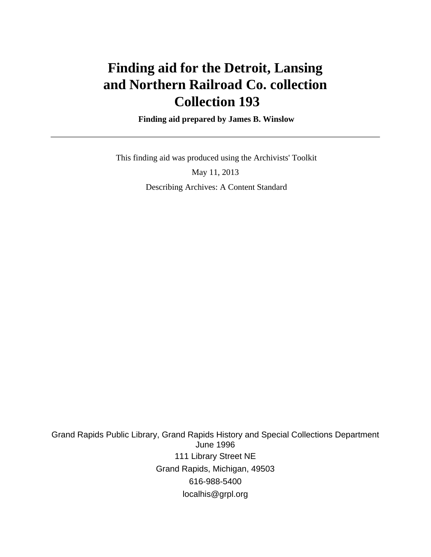# **Finding aid for the Detroit, Lansing and Northern Railroad Co. collection Collection 193**

 **Finding aid prepared by James B. Winslow**

This finding aid was produced using the Archivists' Toolkit

May 11, 2013 Describing Archives: A Content Standard

Grand Rapids Public Library, Grand Rapids History and Special Collections Department June 1996 111 Library Street NE Grand Rapids, Michigan, 49503 616-988-5400 localhis@grpl.org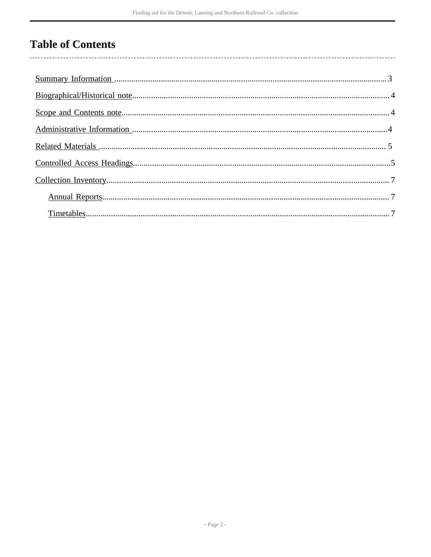## **Table of Contents**

 $\overline{\phantom{a}}$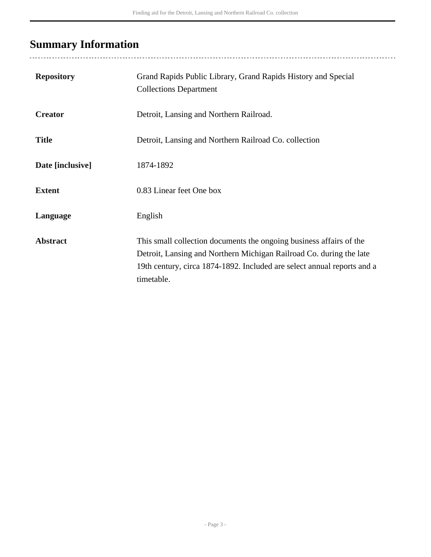## <span id="page-2-0"></span>**Summary Information**

| <b>Repository</b> | Grand Rapids Public Library, Grand Rapids History and Special<br><b>Collections Department</b>                                                                                                                                      |
|-------------------|-------------------------------------------------------------------------------------------------------------------------------------------------------------------------------------------------------------------------------------|
| <b>Creator</b>    | Detroit, Lansing and Northern Railroad.                                                                                                                                                                                             |
| <b>Title</b>      | Detroit, Lansing and Northern Railroad Co. collection                                                                                                                                                                               |
| Date [inclusive]  | 1874-1892                                                                                                                                                                                                                           |
| <b>Extent</b>     | 0.83 Linear feet One box                                                                                                                                                                                                            |
| Language          | English                                                                                                                                                                                                                             |
| <b>Abstract</b>   | This small collection documents the ongoing business affairs of the<br>Detroit, Lansing and Northern Michigan Railroad Co. during the late<br>19th century, circa 1874-1892. Included are select annual reports and a<br>timetable. |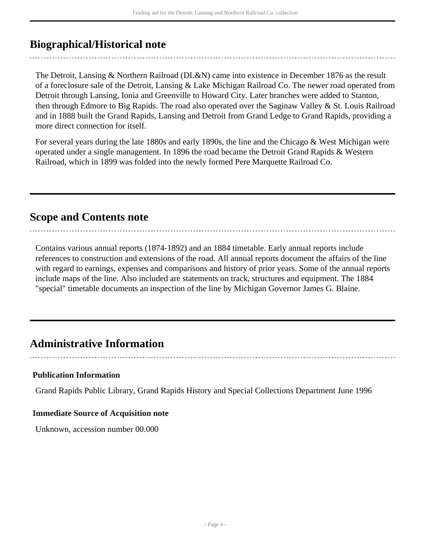### <span id="page-3-0"></span>**Biographical/Historical note**

The Detroit, Lansing & Northern Railroad (DL&N) came into existence in December 1876 as the result of a foreclosure sale of the Detroit, Lansing & Lake Michigan Railroad Co. The newer road operated from Detroit through Lansing, Ionia and Greenville to Howard City. Later branches were added to Stanton, then through Edmore to Big Rapids. The road also operated over the Saginaw Valley & St. Louis Railroad and in 1888 built the Grand Rapids, Lansing and Detroit from Grand Ledge to Grand Rapids, providing a more direct connection for itself.

For several years during the late 1880s and early 1890s, the line and the Chicago & West Michigan were operated under a single management. In 1896 the road became the Detroit Grand Rapids & Western Railroad, which in 1899 was folded into the newly formed Pere Marquette Railroad Co.

### <span id="page-3-1"></span>**Scope and Contents note**

Contains various annual reports (1874-1892) and an 1884 timetable. Early annual reports include references to construction and extensions of the road. All annual reports document the affairs of the line with regard to earnings, expenses and comparisons and history of prior years. Some of the annual reports include maps of the line. Also included are statements on track, structures and equipment. The 1884 "special" timetable documents an inspection of the line by Michigan Governor James G. Blaine.

..............................

### <span id="page-3-2"></span>**Administrative Information**

### **Publication Information**

Grand Rapids Public Library, Grand Rapids History and Special Collections Department June 1996

#### **Immediate Source of Acquisition note**

Unknown, accession number 00.000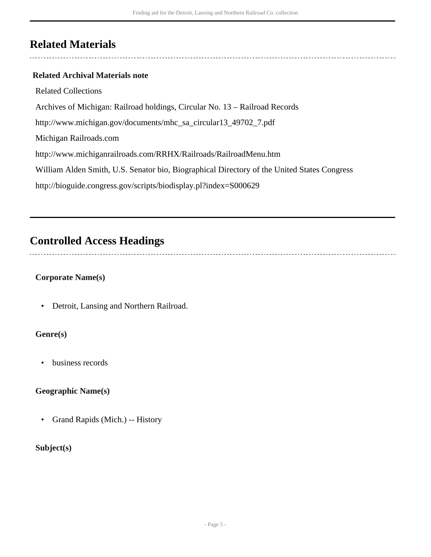### <span id="page-4-0"></span>**Related Materials**

### **Related Archival Materials note**

Related Collections Archives of Michigan: Railroad holdings, Circular No. 13 – Railroad Records http://www.michigan.gov/documents/mhc\_sa\_circular13\_49702\_7.pdf Michigan Railroads.com http://www.michiganrailroads.com/RRHX/Railroads/RailroadMenu.htm William Alden Smith, U.S. Senator bio, Biographical Directory of the United States Congress http://bioguide.congress.gov/scripts/biodisplay.pl?index=S000629

## <span id="page-4-1"></span>**Controlled Access Headings**

#### **Corporate Name(s)**

• Detroit, Lansing and Northern Railroad.

### **Genre(s)**

• business records

### **Geographic Name(s)**

• Grand Rapids (Mich.) -- History

### **Subject(s)**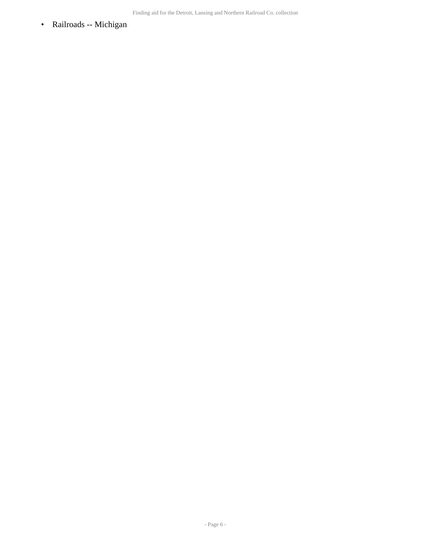• Railroads -- Michigan